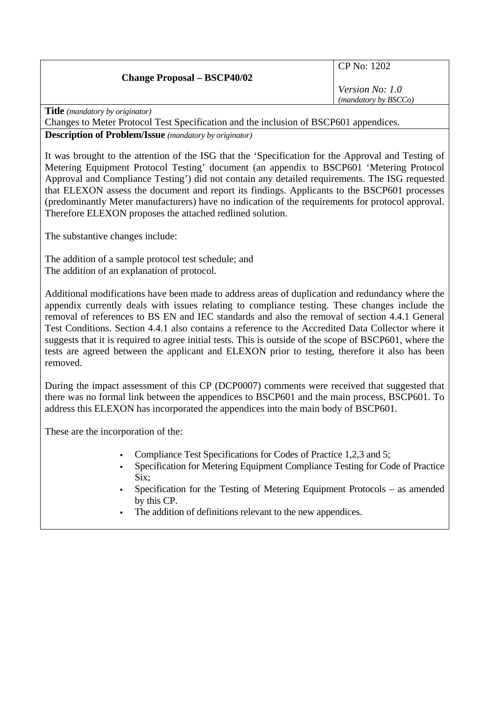|                                                                                                                                                                                                                                                                                                                                                                                                                                                                                             | CP No: 1202          |
|---------------------------------------------------------------------------------------------------------------------------------------------------------------------------------------------------------------------------------------------------------------------------------------------------------------------------------------------------------------------------------------------------------------------------------------------------------------------------------------------|----------------------|
| <b>Change Proposal – BSCP40/02</b>                                                                                                                                                                                                                                                                                                                                                                                                                                                          |                      |
|                                                                                                                                                                                                                                                                                                                                                                                                                                                                                             | Version No: 1.0      |
|                                                                                                                                                                                                                                                                                                                                                                                                                                                                                             | (mandatory by BSCCo) |
| $\textbf{T} \cdot \textbf{H} \cdot (\dots \dots \cdot \textbf{H} \cdot \textbf{H} \cdot \textbf{H} \cdot \textbf{H} \cdot \textbf{H} \cdot \textbf{H} \cdot \textbf{H} \cdot \textbf{H} \cdot \textbf{H} \cdot \textbf{H} \cdot \textbf{H} \cdot \textbf{H} \cdot \textbf{H} \cdot \textbf{H} \cdot \textbf{H} \cdot \textbf{H} \cdot \textbf{H} \cdot \textbf{H} \cdot \textbf{H} \cdot \textbf{H} \cdot \textbf{H} \cdot \textbf{H} \cdot \textbf{H} \cdot \textbf{H} \cdot \textbf{H} \$ |                      |

**Title** *(mandatory by originator)* 

Changes to Meter Protocol Test Specification and the inclusion of BSCP601 appendices.

**Description of Problem/Issue** *(mandatory by originator)* 

It was brought to the attention of the ISG that the 'Specification for the Approval and Testing of Metering Equipment Protocol Testing' document (an appendix to BSCP601 'Metering Protocol Approval and Compliance Testing') did not contain any detailed requirements. The ISG requested that ELEXON assess the document and report its findings. Applicants to the BSCP601 processes (predominantly Meter manufacturers) have no indication of the requirements for protocol approval. Therefore ELEXON proposes the attached redlined solution.

The substantive changes include:

The addition of a sample protocol test schedule; and The addition of an explanation of protocol.

Additional modifications have been made to address areas of duplication and redundancy where the appendix currently deals with issues relating to compliance testing. These changes include the removal of references to BS EN and IEC standards and also the removal of section 4.4.1 General Test Conditions. Section 4.4.1 also contains a reference to the Accredited Data Collector where it suggests that it is required to agree initial tests. This is outside of the scope of BSCP601, where the tests are agreed between the applicant and ELEXON prior to testing, therefore it also has been removed.

During the impact assessment of this CP (DCP0007) comments were received that suggested that there was no formal link between the appendices to BSCP601 and the main process, BSCP601. To address this ELEXON has incorporated the appendices into the main body of BSCP601.

These are the incorporation of the:

- Compliance Test Specifications for Codes of Practice 1,2,3 and 5;
- Specification for Metering Equipment Compliance Testing for Code of Practice Six;
- Specification for the Testing of Metering Equipment Protocols as amended by this CP.
- The addition of definitions relevant to the new appendices.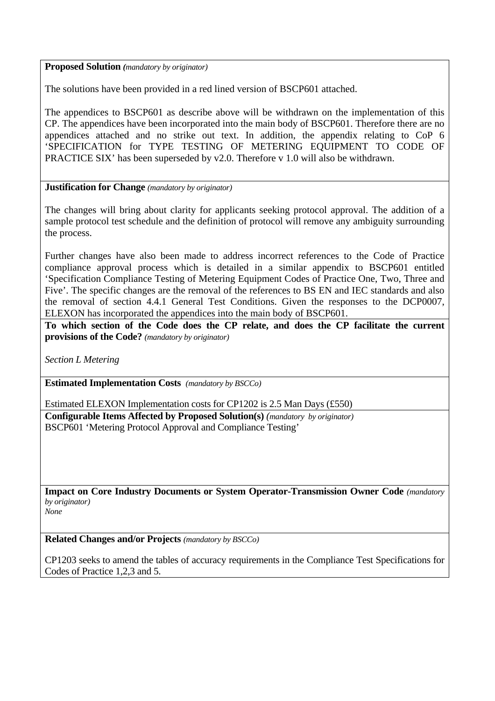## **Proposed Solution** *(mandatory by originator)*

The solutions have been provided in a red lined version of BSCP601 attached.

The appendices to BSCP601 as describe above will be withdrawn on the implementation of this CP. The appendices have been incorporated into the main body of BSCP601. Therefore there are no appendices attached and no strike out text. In addition, the appendix relating to CoP 6 'SPECIFICATION for TYPE TESTING OF METERING EQUIPMENT TO CODE OF PRACTICE SIX' has been superseded by v2.0. Therefore v 1.0 will also be withdrawn.

## **Justification for Change** *(mandatory by originator)*

The changes will bring about clarity for applicants seeking protocol approval. The addition of a sample protocol test schedule and the definition of protocol will remove any ambiguity surrounding the process.

Further changes have also been made to address incorrect references to the Code of Practice compliance approval process which is detailed in a similar appendix to BSCP601 entitled 'Specification Compliance Testing of Metering Equipment Codes of Practice One, Two, Three and Five'. The specific changes are the removal of the references to BS EN and IEC standards and also the removal of section 4.4.1 General Test Conditions. Given the responses to the DCP0007, ELEXON has incorporated the appendices into the main body of BSCP601.

**To which section of the Code does the CP relate, and does the CP facilitate the current provisions of the Code?** *(mandatory by originator)* 

*Section L Metering* 

**Estimated Implementation Costs** *(mandatory by BSCCo)* 

Estimated ELEXON Implementation costs for CP1202 is 2.5 Man Days (£550)

**Configurable Items Affected by Proposed Solution(s)** *(mandatory by originator)*  BSCP601 'Metering Protocol Approval and Compliance Testing'

**Impact on Core Industry Documents or System Operator-Transmission Owner Code** *(mandatory by originator) None*

**Related Changes and/or Projects** *(mandatory by BSCCo)* 

CP1203 seeks to amend the tables of accuracy requirements in the Compliance Test Specifications for Codes of Practice 1,2,3 and 5.